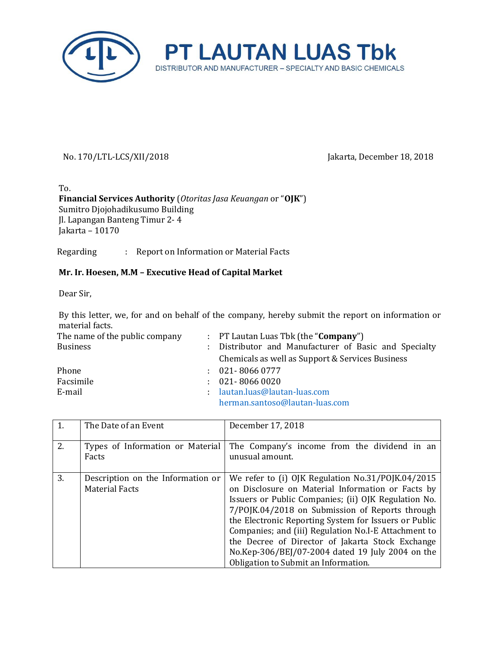

## No. 170/LTL-LCS/XII/2018 Jakarta, December 18, 2018

To. **Financial Services Authority** (*Otoritas Jasa Keuangan* or "**OJK**") Sumitro Djojohadikusumo Building Jl. Lapangan Banteng Timur 2- 4 Jakarta – 10170

Regarding : Report on Information or Material Facts

## **Mr. Ir. Hoesen, M.M – Executive Head of Capital Market**

Dear Sir,

By this letter, we, for and on behalf of the company, hereby submit the report on information or material facts.

| The name of the public company | : PT Lautan Luas Tbk (the " <b>Company</b> ")         |
|--------------------------------|-------------------------------------------------------|
| <b>Business</b>                | : Distributor and Manufacturer of Basic and Specialty |
|                                | Chemicals as well as Support & Services Business      |
| Phone                          | $: 021 - 80660777$                                    |
| Facsimile                      | $: 021 - 80660020$                                    |
| E-mail                         | : lautan.luas@lautan-luas.com                         |
|                                | herman.santoso@lautan-luas.com                        |

|    | The Date of an Event                                       | December 17, 2018                                                                                                                                                                                                                                                                                                                                                                                                                                                                  |
|----|------------------------------------------------------------|------------------------------------------------------------------------------------------------------------------------------------------------------------------------------------------------------------------------------------------------------------------------------------------------------------------------------------------------------------------------------------------------------------------------------------------------------------------------------------|
| 2. | Types of Information or Material<br>Facts                  | The Company's income from the dividend in an<br>unusual amount.                                                                                                                                                                                                                                                                                                                                                                                                                    |
| 3. | Description on the Information or<br><b>Material Facts</b> | We refer to (i) OJK Regulation No.31/POJK.04/2015<br>on Disclosure on Material Information or Facts by<br>Issuers or Public Companies; (ii) OJK Regulation No.<br>7/POJK.04/2018 on Submission of Reports through<br>the Electronic Reporting System for Issuers or Public<br>Companies; and (iii) Regulation No.I-E Attachment to<br>the Decree of Director of Jakarta Stock Exchange<br>No.Kep-306/BEJ/07-2004 dated 19 July 2004 on the<br>Obligation to Submit an Information. |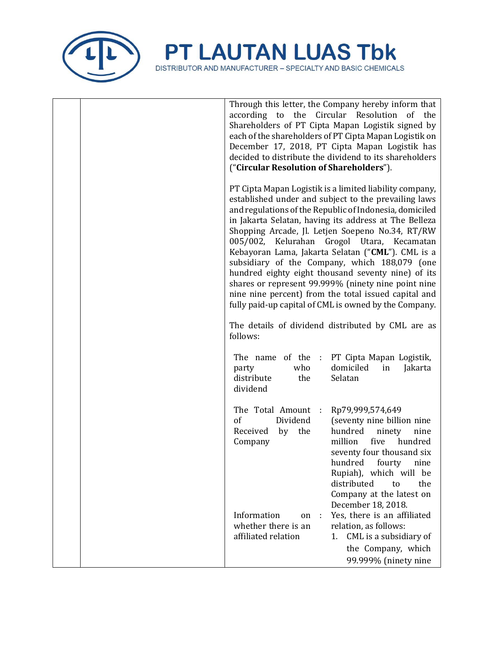

| Through this letter, the Company hereby inform that<br>according to the Circular Resolution of the<br>Shareholders of PT Cipta Mapan Logistik signed by<br>each of the shareholders of PT Cipta Mapan Logistik on<br>December 17, 2018, PT Cipta Mapan Logistik has<br>decided to distribute the dividend to its shareholders<br>("Circular Resolution of Shareholders").                                                                                                                                                                                                                                                                                                 |
|---------------------------------------------------------------------------------------------------------------------------------------------------------------------------------------------------------------------------------------------------------------------------------------------------------------------------------------------------------------------------------------------------------------------------------------------------------------------------------------------------------------------------------------------------------------------------------------------------------------------------------------------------------------------------|
| PT Cipta Mapan Logistik is a limited liability company,<br>established under and subject to the prevailing laws<br>and regulations of the Republic of Indonesia, domiciled<br>in Jakarta Selatan, having its address at The Belleza<br>Shopping Arcade, Jl. Letjen Soepeno No.34, RT/RW<br>005/002, Kelurahan Grogol Utara, Kecamatan<br>Kebayoran Lama, Jakarta Selatan ("CML"). CML is a<br>subsidiary of the Company, which 188,079 (one<br>hundred eighty eight thousand seventy nine) of its<br>shares or represent 99.999% (ninety nine point nine<br>nine nine percent) from the total issued capital and<br>fully paid-up capital of CML is owned by the Company. |
| The details of dividend distributed by CML are as<br>follows:                                                                                                                                                                                                                                                                                                                                                                                                                                                                                                                                                                                                             |
| The name of the : PT Cipta Mapan Logistik,<br>who<br>domiciled<br>in<br>Jakarta<br>party<br>distribute<br>the<br>Selatan<br>dividend                                                                                                                                                                                                                                                                                                                                                                                                                                                                                                                                      |
| The Total Amount :<br>Rp79,999,574,649<br>of<br>Dividend<br>(seventy nine billion nine<br>by the<br>Received<br>hundred<br>ninety<br>nine<br>million<br>Company<br>five<br>hundred<br>seventy four thousand six<br>hundred fourty nine<br>Rupiah), which will be<br>distributed<br>to<br>the<br>Company at the latest on                                                                                                                                                                                                                                                                                                                                                  |
| December 18, 2018.<br>Information<br>Yes, there is an affiliated<br>on<br>whether there is an<br>relation, as follows:<br>affiliated relation<br>CML is a subsidiary of<br>1.<br>the Company, which<br>99.999% (ninety nine                                                                                                                                                                                                                                                                                                                                                                                                                                               |

DISTRIBUTOR AND MANUFACTURER – SPECIALTY AND BASIC CHEMICALS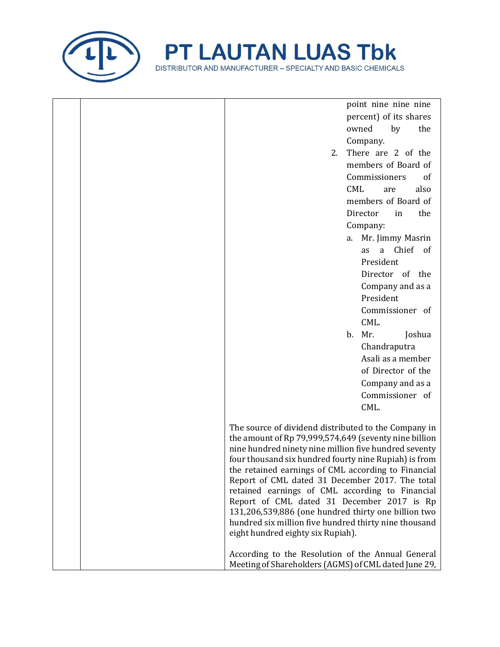

| point nine nine nine<br>percent) of its shares<br>owned<br>the<br>by<br>Company.<br>There are 2 of the<br>2.<br>members of Board of<br>Commissioners<br>of<br>CML<br>also<br>are<br>members of Board of<br>Director<br>the<br>in<br>Company:<br>Mr. Jimmy Masrin<br>a.<br>a Chief of<br>as<br>President<br>Director of the<br>Company and as a<br>President<br>Commissioner of<br>CML.<br>b.<br>Mr.<br>Joshua<br>Chandraputra<br>Asali as a member<br>of Director of the<br>Company and as a<br>Commissioner of<br>CML.<br>The source of dividend distributed to the Company in<br>the amount of Rp 79,999,574,649 (seventy nine billion<br>nine hundred ninety nine million five hundred seventy<br>four thousand six hundred fourty nine Rupiah) is from<br>the retained earnings of CML according to Financial<br>Report of CML dated 31 December 2017. The total<br>retained earnings of CML according to Financial<br>Report of CML dated 31 December 2017 is Rp<br>131,206,539,886 (one hundred thirty one billion two<br>hundred six million five hundred thirty nine thousand<br>eight hundred eighty six Rupiah).<br>According to the Resolution of the Annual General<br>Meeting of Shareholders (AGMS) of CML dated June 29, |  |  |
|-----------------------------------------------------------------------------------------------------------------------------------------------------------------------------------------------------------------------------------------------------------------------------------------------------------------------------------------------------------------------------------------------------------------------------------------------------------------------------------------------------------------------------------------------------------------------------------------------------------------------------------------------------------------------------------------------------------------------------------------------------------------------------------------------------------------------------------------------------------------------------------------------------------------------------------------------------------------------------------------------------------------------------------------------------------------------------------------------------------------------------------------------------------------------------------------------------------------------------------------|--|--|
|                                                                                                                                                                                                                                                                                                                                                                                                                                                                                                                                                                                                                                                                                                                                                                                                                                                                                                                                                                                                                                                                                                                                                                                                                                         |  |  |
|                                                                                                                                                                                                                                                                                                                                                                                                                                                                                                                                                                                                                                                                                                                                                                                                                                                                                                                                                                                                                                                                                                                                                                                                                                         |  |  |
|                                                                                                                                                                                                                                                                                                                                                                                                                                                                                                                                                                                                                                                                                                                                                                                                                                                                                                                                                                                                                                                                                                                                                                                                                                         |  |  |
|                                                                                                                                                                                                                                                                                                                                                                                                                                                                                                                                                                                                                                                                                                                                                                                                                                                                                                                                                                                                                                                                                                                                                                                                                                         |  |  |
|                                                                                                                                                                                                                                                                                                                                                                                                                                                                                                                                                                                                                                                                                                                                                                                                                                                                                                                                                                                                                                                                                                                                                                                                                                         |  |  |
|                                                                                                                                                                                                                                                                                                                                                                                                                                                                                                                                                                                                                                                                                                                                                                                                                                                                                                                                                                                                                                                                                                                                                                                                                                         |  |  |
|                                                                                                                                                                                                                                                                                                                                                                                                                                                                                                                                                                                                                                                                                                                                                                                                                                                                                                                                                                                                                                                                                                                                                                                                                                         |  |  |
|                                                                                                                                                                                                                                                                                                                                                                                                                                                                                                                                                                                                                                                                                                                                                                                                                                                                                                                                                                                                                                                                                                                                                                                                                                         |  |  |
|                                                                                                                                                                                                                                                                                                                                                                                                                                                                                                                                                                                                                                                                                                                                                                                                                                                                                                                                                                                                                                                                                                                                                                                                                                         |  |  |
|                                                                                                                                                                                                                                                                                                                                                                                                                                                                                                                                                                                                                                                                                                                                                                                                                                                                                                                                                                                                                                                                                                                                                                                                                                         |  |  |
|                                                                                                                                                                                                                                                                                                                                                                                                                                                                                                                                                                                                                                                                                                                                                                                                                                                                                                                                                                                                                                                                                                                                                                                                                                         |  |  |
|                                                                                                                                                                                                                                                                                                                                                                                                                                                                                                                                                                                                                                                                                                                                                                                                                                                                                                                                                                                                                                                                                                                                                                                                                                         |  |  |
|                                                                                                                                                                                                                                                                                                                                                                                                                                                                                                                                                                                                                                                                                                                                                                                                                                                                                                                                                                                                                                                                                                                                                                                                                                         |  |  |
|                                                                                                                                                                                                                                                                                                                                                                                                                                                                                                                                                                                                                                                                                                                                                                                                                                                                                                                                                                                                                                                                                                                                                                                                                                         |  |  |
|                                                                                                                                                                                                                                                                                                                                                                                                                                                                                                                                                                                                                                                                                                                                                                                                                                                                                                                                                                                                                                                                                                                                                                                                                                         |  |  |
|                                                                                                                                                                                                                                                                                                                                                                                                                                                                                                                                                                                                                                                                                                                                                                                                                                                                                                                                                                                                                                                                                                                                                                                                                                         |  |  |
|                                                                                                                                                                                                                                                                                                                                                                                                                                                                                                                                                                                                                                                                                                                                                                                                                                                                                                                                                                                                                                                                                                                                                                                                                                         |  |  |
|                                                                                                                                                                                                                                                                                                                                                                                                                                                                                                                                                                                                                                                                                                                                                                                                                                                                                                                                                                                                                                                                                                                                                                                                                                         |  |  |
|                                                                                                                                                                                                                                                                                                                                                                                                                                                                                                                                                                                                                                                                                                                                                                                                                                                                                                                                                                                                                                                                                                                                                                                                                                         |  |  |
|                                                                                                                                                                                                                                                                                                                                                                                                                                                                                                                                                                                                                                                                                                                                                                                                                                                                                                                                                                                                                                                                                                                                                                                                                                         |  |  |
|                                                                                                                                                                                                                                                                                                                                                                                                                                                                                                                                                                                                                                                                                                                                                                                                                                                                                                                                                                                                                                                                                                                                                                                                                                         |  |  |
|                                                                                                                                                                                                                                                                                                                                                                                                                                                                                                                                                                                                                                                                                                                                                                                                                                                                                                                                                                                                                                                                                                                                                                                                                                         |  |  |
|                                                                                                                                                                                                                                                                                                                                                                                                                                                                                                                                                                                                                                                                                                                                                                                                                                                                                                                                                                                                                                                                                                                                                                                                                                         |  |  |
|                                                                                                                                                                                                                                                                                                                                                                                                                                                                                                                                                                                                                                                                                                                                                                                                                                                                                                                                                                                                                                                                                                                                                                                                                                         |  |  |
|                                                                                                                                                                                                                                                                                                                                                                                                                                                                                                                                                                                                                                                                                                                                                                                                                                                                                                                                                                                                                                                                                                                                                                                                                                         |  |  |
|                                                                                                                                                                                                                                                                                                                                                                                                                                                                                                                                                                                                                                                                                                                                                                                                                                                                                                                                                                                                                                                                                                                                                                                                                                         |  |  |
|                                                                                                                                                                                                                                                                                                                                                                                                                                                                                                                                                                                                                                                                                                                                                                                                                                                                                                                                                                                                                                                                                                                                                                                                                                         |  |  |
|                                                                                                                                                                                                                                                                                                                                                                                                                                                                                                                                                                                                                                                                                                                                                                                                                                                                                                                                                                                                                                                                                                                                                                                                                                         |  |  |
|                                                                                                                                                                                                                                                                                                                                                                                                                                                                                                                                                                                                                                                                                                                                                                                                                                                                                                                                                                                                                                                                                                                                                                                                                                         |  |  |
|                                                                                                                                                                                                                                                                                                                                                                                                                                                                                                                                                                                                                                                                                                                                                                                                                                                                                                                                                                                                                                                                                                                                                                                                                                         |  |  |
|                                                                                                                                                                                                                                                                                                                                                                                                                                                                                                                                                                                                                                                                                                                                                                                                                                                                                                                                                                                                                                                                                                                                                                                                                                         |  |  |
|                                                                                                                                                                                                                                                                                                                                                                                                                                                                                                                                                                                                                                                                                                                                                                                                                                                                                                                                                                                                                                                                                                                                                                                                                                         |  |  |
|                                                                                                                                                                                                                                                                                                                                                                                                                                                                                                                                                                                                                                                                                                                                                                                                                                                                                                                                                                                                                                                                                                                                                                                                                                         |  |  |
|                                                                                                                                                                                                                                                                                                                                                                                                                                                                                                                                                                                                                                                                                                                                                                                                                                                                                                                                                                                                                                                                                                                                                                                                                                         |  |  |
|                                                                                                                                                                                                                                                                                                                                                                                                                                                                                                                                                                                                                                                                                                                                                                                                                                                                                                                                                                                                                                                                                                                                                                                                                                         |  |  |
|                                                                                                                                                                                                                                                                                                                                                                                                                                                                                                                                                                                                                                                                                                                                                                                                                                                                                                                                                                                                                                                                                                                                                                                                                                         |  |  |
|                                                                                                                                                                                                                                                                                                                                                                                                                                                                                                                                                                                                                                                                                                                                                                                                                                                                                                                                                                                                                                                                                                                                                                                                                                         |  |  |
|                                                                                                                                                                                                                                                                                                                                                                                                                                                                                                                                                                                                                                                                                                                                                                                                                                                                                                                                                                                                                                                                                                                                                                                                                                         |  |  |
|                                                                                                                                                                                                                                                                                                                                                                                                                                                                                                                                                                                                                                                                                                                                                                                                                                                                                                                                                                                                                                                                                                                                                                                                                                         |  |  |